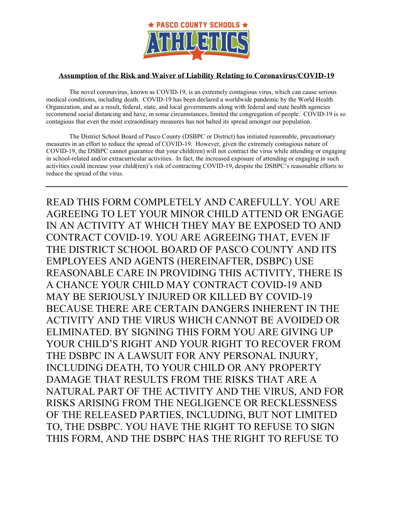

## **Assumption of the Risk and Waiver of Liability Relating to Coronavirus/COVID-19**

The novel coronavirus, known as COVID-19, is an extremely contagious virus, which can cause serious medical conditions, including death. COVID-19 has been declared a worldwide pandemic by the World Health Organization, and as a result, federal, state, and local governments along with federal and state health agencies recommend social distancing and have, in some circumstances, limited the congregation of people. COVID-19 is so contagious that even the most extraordinary measures has not halted its spread amongst our population.

The District School Board of Pasco County (DSBPC or District) has initiated reasonable, precautionary measures in an effort to reduce the spread of COVID-19. However, given the extremely contagious nature of COVID-19, the DSBPC cannot guarantee that your child(ren) will not contract the virus while attending or engaging in school-related and/or extracurricular activities. In fact, the increased exposure of attending or engaging in such activities could increase your child(ren)'s risk of contracting COVID-19, despite the DSBPC's reasonable efforts to reduce the spread of the virus.

READ THIS FORM COMPLETELY AND CAREFULLY. YOU ARE AGREEING TO LET YOUR MINOR CHILD ATTEND OR ENGAGE IN AN ACTIVITY AT WHICH THEY MAY BE EXPOSED TO AND CONTRACT COVID-19. YOU ARE AGREEING THAT, EVEN IF THE DISTRICT SCHOOL BOARD OF PASCO COUNTY AND ITS EMPLOYEES AND AGENTS (HEREINAFTER, DSBPC) USE REASONABLE CARE IN PROVIDING THIS ACTIVITY, THERE IS A CHANCE YOUR CHILD MAY CONTRACT COVID-19 AND MAY BE SERIOUSLY INJURED OR KILLED BY COVID-19 BECAUSE THERE ARE CERTAIN DANGERS INHERENT IN THE ACTIVITY AND THE VIRUS WHICH CANNOT BE AVOIDED OR ELIMINATED. BY SIGNING THIS FORM YOU ARE GIVING UP YOUR CHILD'S RIGHT AND YOUR RIGHT TO RECOVER FROM THE DSBPC IN A LAWSUIT FOR ANY PERSONAL INJURY, INCLUDING DEATH, TO YOUR CHILD OR ANY PROPERTY DAMAGE THAT RESULTS FROM THE RISKS THAT ARE A NATURAL PART OF THE ACTIVITY AND THE VIRUS, AND FOR RISKS ARISING FROM THE NEGLIGENCE OR RECKLESSNESS OF THE RELEASED PARTIES, INCLUDING, BUT NOT LIMITED TO, THE DSBPC. YOU HAVE THE RIGHT TO REFUSE TO SIGN THIS FORM, AND THE DSBPC HAS THE RIGHT TO REFUSE TO